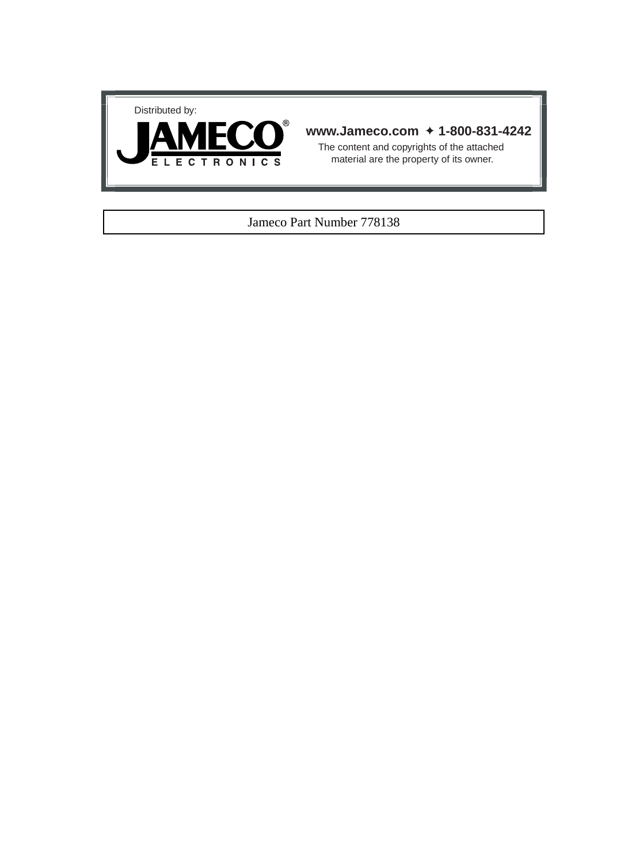



## **www.Jameco.com** ✦ **1-800-831-4242**

The content and copyrights of the attached material are the property of its owner.

## Jameco Part Number 778138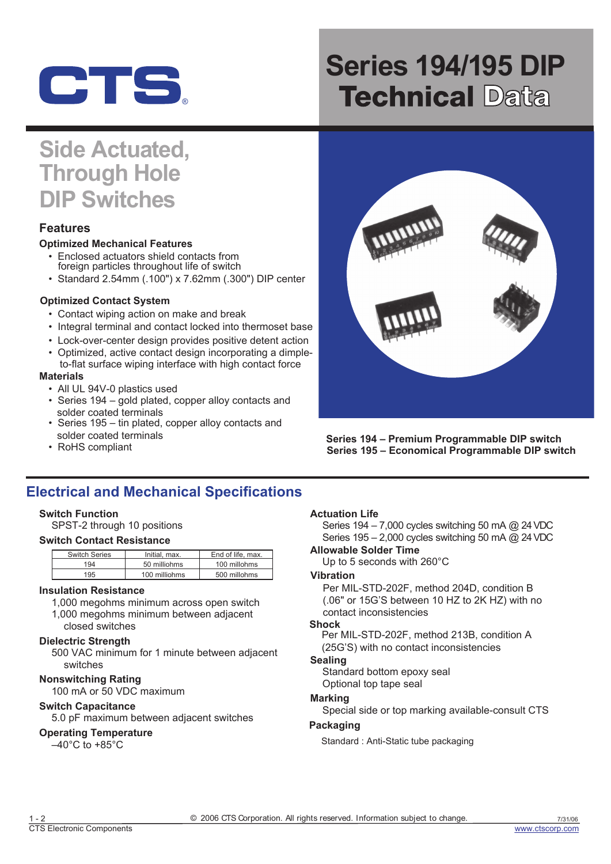

# **Series 194/195 DIP Technical Data**

## **Side Actuated, Through Hole DIP Switches**

## **Features**

## **Optimized Mechanical Features**

- Enclosed actuators shield contacts from foreign particles throughout life of switch
- Standard 2.54mm (.100") x 7.62mm (.300") DIP center

## **Optimized Contact System**

- Contact wiping action on make and break
- Integral terminal and contact locked into thermoset base
- Lock-over-center design provides positive detent action
- Optimized, active contact design incorporating a dimple-
- to-flat surface wiping interface with high contact force

### **Materials**

- All UL 94V-0 plastics used
- Series 194 gold plated, copper alloy contacts and solder coated terminals
- Series 195 tin plated, copper alloy contacts and solder coated terminals
- RoHS compliant



**Series 194 – Premium Programmable DIP switch Series 195 – Economical Programmable DIP switch** 

## **Electrical and Mechanical Specifications**

## **Switch Function**

SPST-2 through 10 positions

## **Switch Contact Resistance**

| Switch Series | Initial, max. | End of life, max. |
|---------------|---------------|-------------------|
| 194           | 50 milliohms  | 100 millohms      |
| 195           | 100 milliohms | 500 millohms      |

#### **Insulation Resistance**

1,000 megohms minimum across open switch 1,000 megohms minimum between adjacent closed switches

## **Dielectric Strength**

500 VAC minimum for 1 minute between adjacent switches

## **Nonswitching Rating**

100 mA or 50 VDC maximum

## **Switch Capacitance**

5.0 pF maximum between adjacent switches

#### **Operating Temperature**

 $-40^{\circ}$ C to  $+85^{\circ}$ C

## **Actuation Life**

Series 194 – 7,000 cycles switching 50 mA @ 24VDC Series 195 – 2,000 cycles switching 50 mA @ 24VDC

## **Allowable Solder Time**

Up to 5 seconds with 260°C

## **Vibration**

Per MIL-STD-202F, method 204D, condition B (.06" or 15G'S between 10 HZ to 2K HZ) with no contact inconsistencies

#### **Shock**

Per MIL-STD-202F, method 213B, condition A (25G'S) with no contact inconsistencies

## **Sealing**

Standard bottom epoxy seal Optional top tape seal

## **Marking**

Special side or top marking available-consult CTS

#### **Packaging**

Standard : Anti-Static tube packaging